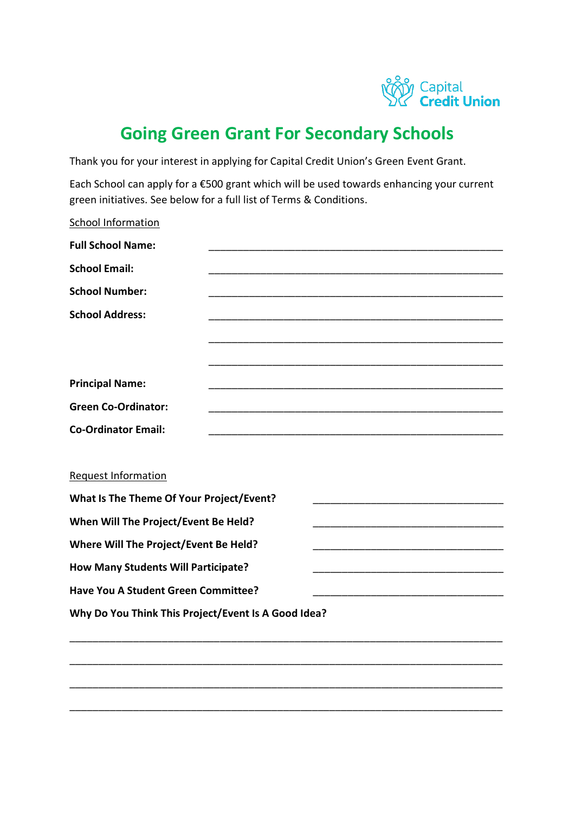

## **Going Green Grant For Secondary Schools**

Thank you for your interest in applying for Capital Credit Union's Green Event Grant.

Each School can apply for a €500 grant which will be used towards enhancing your current green initiatives. See below for a full list of Terms & Conditions.

| School Information                                  |  |  |
|-----------------------------------------------------|--|--|
| <b>Full School Name:</b>                            |  |  |
| <b>School Email:</b>                                |  |  |
| <b>School Number:</b>                               |  |  |
| <b>School Address:</b>                              |  |  |
|                                                     |  |  |
|                                                     |  |  |
| <b>Principal Name:</b>                              |  |  |
| <b>Green Co-Ordinator:</b>                          |  |  |
| <b>Co-Ordinator Email:</b>                          |  |  |
|                                                     |  |  |
| <b>Request Information</b>                          |  |  |
| What Is The Theme Of Your Project/Event?            |  |  |
| When Will The Project/Event Be Held?                |  |  |
| Where Will The Project/Event Be Held?               |  |  |
| <b>How Many Students Will Participate?</b>          |  |  |
| <b>Have You A Student Green Committee?</b>          |  |  |
| Why Do You Think This Project/Event Is A Good Idea? |  |  |
|                                                     |  |  |

\_\_\_\_\_\_\_\_\_\_\_\_\_\_\_\_\_\_\_\_\_\_\_\_\_\_\_\_\_\_\_\_\_\_\_\_\_\_\_\_\_\_\_\_\_\_\_\_\_\_\_\_\_\_\_\_\_\_\_\_\_\_\_\_\_\_\_\_\_\_\_\_\_\_\_

\_\_\_\_\_\_\_\_\_\_\_\_\_\_\_\_\_\_\_\_\_\_\_\_\_\_\_\_\_\_\_\_\_\_\_\_\_\_\_\_\_\_\_\_\_\_\_\_\_\_\_\_\_\_\_\_\_\_\_\_\_\_\_\_\_\_\_\_\_\_\_\_\_\_\_

\_\_\_\_\_\_\_\_\_\_\_\_\_\_\_\_\_\_\_\_\_\_\_\_\_\_\_\_\_\_\_\_\_\_\_\_\_\_\_\_\_\_\_\_\_\_\_\_\_\_\_\_\_\_\_\_\_\_\_\_\_\_\_\_\_\_\_\_\_\_\_\_\_\_\_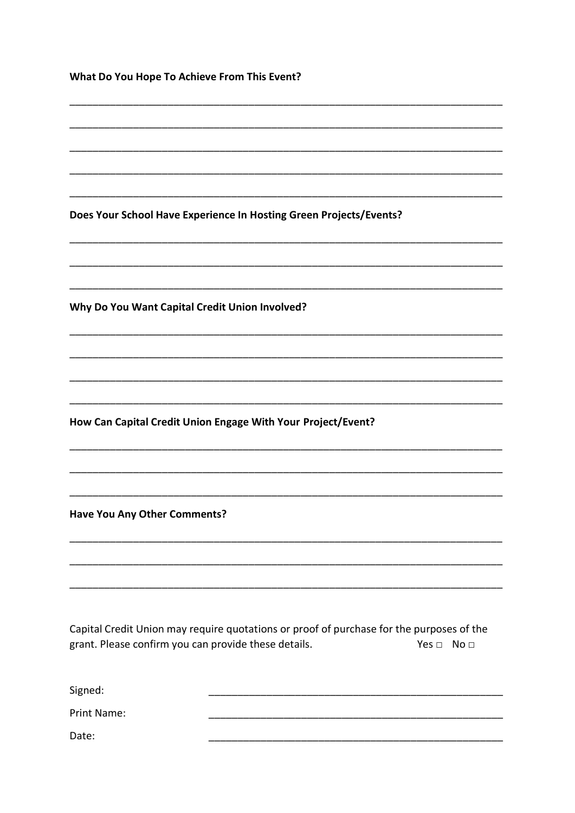| What Do You Hope To Achieve From This Event?                                                                                                                             |  |  |  |  |
|--------------------------------------------------------------------------------------------------------------------------------------------------------------------------|--|--|--|--|
|                                                                                                                                                                          |  |  |  |  |
|                                                                                                                                                                          |  |  |  |  |
|                                                                                                                                                                          |  |  |  |  |
|                                                                                                                                                                          |  |  |  |  |
| Does Your School Have Experience In Hosting Green Projects/Events?                                                                                                       |  |  |  |  |
|                                                                                                                                                                          |  |  |  |  |
| Why Do You Want Capital Credit Union Involved?                                                                                                                           |  |  |  |  |
|                                                                                                                                                                          |  |  |  |  |
|                                                                                                                                                                          |  |  |  |  |
|                                                                                                                                                                          |  |  |  |  |
| How Can Capital Credit Union Engage With Your Project/Event?                                                                                                             |  |  |  |  |
|                                                                                                                                                                          |  |  |  |  |
|                                                                                                                                                                          |  |  |  |  |
| <b>Have You Any Other Comments?</b>                                                                                                                                      |  |  |  |  |
|                                                                                                                                                                          |  |  |  |  |
|                                                                                                                                                                          |  |  |  |  |
| Capital Credit Union may require quotations or proof of purchase for the purposes of the<br>grant. Please confirm you can provide these details.<br>Yes $\Box$ No $\Box$ |  |  |  |  |
| Signed:                                                                                                                                                                  |  |  |  |  |
| Print Name:                                                                                                                                                              |  |  |  |  |

Date: